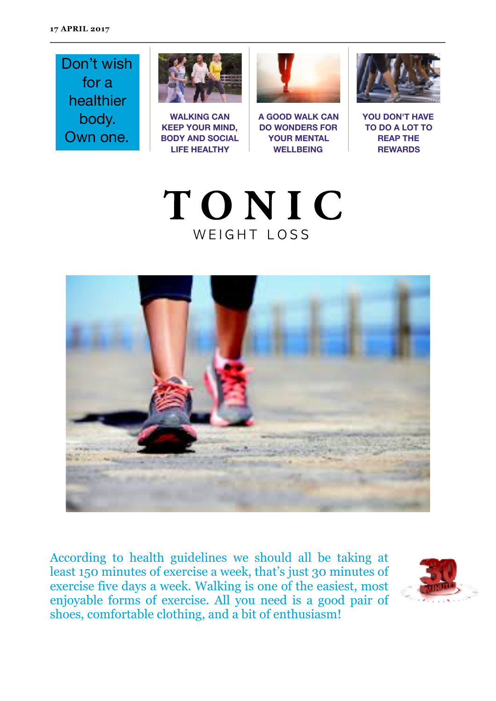Don't wish for a healthier body. Own one.



**WALKING CAN KEEP YOUR MIND, BODY AND SOCIAL LIFE HEALTHY**



**A GOOD WALK CAN DO WONDERS FOR YOUR MENTAL WELLBEING**



**YOU DON'T HAVE TO DO A LOT TO REAP THE REWARDS**





According to health guidelines we should all be taking at least 150 minutes of exercise a week, that's just 30 minutes of exercise five days a week. Walking is one of the easiest, most enjoyable forms of exercise. All you need is a good pair of shoes, comfortable clothing, and a bit of enthusiasm!